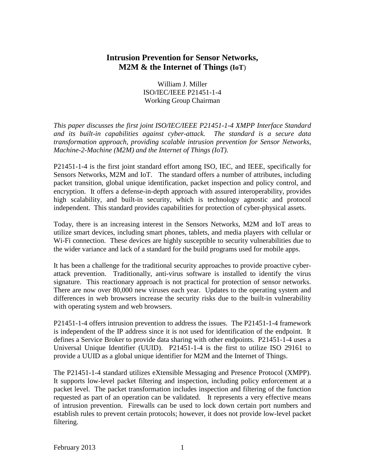## **Intrusion Prevention for Sensor Networks, M2M & the Internet of Things (IoT**)

William J. Miller ISO/IEC/IEEE P21451-1-4 Working Group Chairman

*This paper discusses the first joint ISO/IEC/IEEE P21451-1-4 XMPP Interface Standard and its built-in capabilities against cyber-attack. The standard is a secure data transformation approach, providing scalable intrusion prevention for Sensor Networks, Machine-2-Machine (M2M) and the Internet of Things (IoT).* 

P21451-1-4 is the first joint standard effort among ISO, IEC, and IEEE, specifically for Sensors Networks, M2M and IoT. The standard offers a number of attributes, including packet transition, global unique identification, packet inspection and policy control, and encryption. It offers a defense-in-depth approach with assured interoperability, provides high scalability, and built-in security, which is technology agnostic and protocol independent. This standard provides capabilities for protection of cyber-physical assets.

Today, there is an increasing interest in the Sensors Networks, M2M and IoT areas to utilize smart devices, including smart phones, tablets, and media players with cellular or Wi-Fi connection. These devices are highly susceptible to security vulnerabilities due to the wider variance and lack of a standard for the build programs used for mobile apps.

It has been a challenge for the traditional security approaches to provide proactive cyberattack prevention. Traditionally, anti-virus software is installed to identify the virus signature. This reactionary approach is not practical for protection of sensor networks. There are now over 80,000 new viruses each year. Updates to the operating system and differences in web browsers increase the security risks due to the built-in vulnerability with operating system and web browsers.

P21451-1-4 offers intrusion prevention to address the issues. The P21451-1-4 framework is independent of the IP address since it is not used for identification of the endpoint. It defines a Service Broker to provide data sharing with other endpoints. P21451-1-4 uses a Universal Unique Identifier (UUID). P21451-1-4 is the first to utilize ISO 29161 to provide a UUID as a global unique identifier for M2M and the Internet of Things.

The P21451-1-4 standard utilizes eXtensible Messaging and Presence Protocol (XMPP). It supports low-level packet filtering and inspection, including policy enforcement at a packet level. The packet transformation includes inspection and filtering of the function requested as part of an operation can be validated. It represents a very effective means of intrusion prevention. Firewalls can be used to lock down certain port numbers and establish rules to prevent certain protocols; however, it does not provide low-level packet filtering.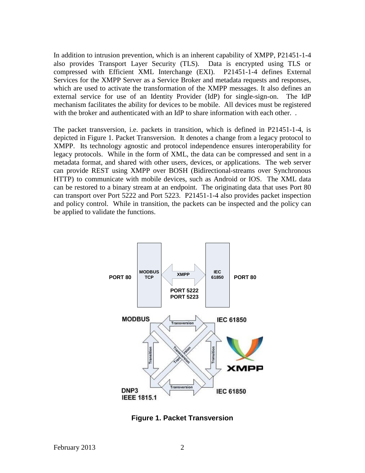In addition to intrusion prevention, which is an inherent capability of XMPP, P21451-1-4 also provides Transport Layer Security (TLS). Data is encrypted using TLS or compressed with Efficient XML Interchange (EXI). P21451-1-4 defines External Services for the XMPP Server as a Service Broker and metadata requests and responses, which are used to activate the transformation of the XMPP messages. It also defines an external service for use of an Identity Provider (IdP) for single-sign-on. The IdP mechanism facilitates the ability for devices to be mobile. All devices must be registered with the broker and authenticated with an IdP to share information with each other.

The packet transversion, i.e. packets in transition, which is defined in P21451-1-4, is depicted in Figure 1. Packet Transversion. It denotes a change from a legacy protocol to XMPP. Its technology agnostic and protocol independence ensures interoperability for legacy protocols. While in the form of XML, the data can be compressed and sent in a metadata format, and shared with other users, devices, or applications. The web server can provide REST using XMPP over BOSH (Bidirectional-streams over Synchronous HTTP) to communicate with mobile devices, such as Android or IOS. The XML data can be restored to a binary stream at an endpoint. The originating data that uses Port 80 can transport over Port 5222 and Port 5223. P21451-1-4 also provides packet inspection and policy control. While in transition, the packets can be inspected and the policy can be applied to validate the functions.



**Figure 1. Packet Transversion**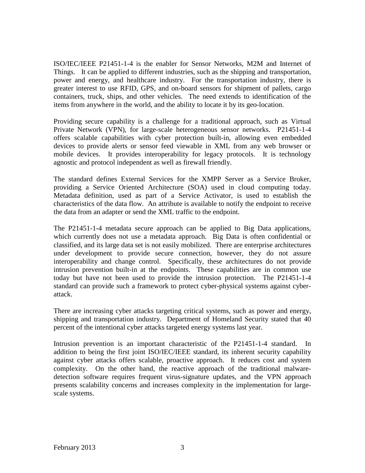ISO/IEC/IEEE P21451-1-4 is the enabler for Sensor Networks, M2M and Internet of Things. It can be applied to different industries, such as the shipping and transportation, power and energy, and healthcare industry. For the transportation industry, there is greater interest to use RFID, GPS, and on-board sensors for shipment of pallets, cargo containers, truck, ships, and other vehicles. The need extends to identification of the items from anywhere in the world, and the ability to locate it by its geo-location.

Providing secure capability is a challenge for a traditional approach, such as Virtual Private Network (VPN), for large-scale heterogeneous sensor networks. P21451-1-4 offers scalable capabilities with cyber protection built-in, allowing even embedded devices to provide alerts or sensor feed viewable in XML from any web browser or mobile devices. It provides interoperability for legacy protocols. It is technology agnostic and protocol independent as well as firewall friendly.

The standard defines External Services for the XMPP Server as a Service Broker, providing a Service Oriented Architecture (SOA) used in cloud computing today. Metadata definition, used as part of a Service Activator, is used to establish the characteristics of the data flow. An attribute is available to notify the endpoint to receive the data from an adapter or send the XML traffic to the endpoint.

The P21451-1-4 metadata secure approach can be applied to Big Data applications, which currently does not use a metadata approach. Big Data is often confidential or classified, and its large data set is not easily mobilized. There are enterprise architectures under development to provide secure connection, however, they do not assure interoperability and change control. Specifically, these architectures do not provide intrusion prevention built-in at the endpoints. These capabilities are in common use today but have not been used to provide the intrusion protection. The P21451-1-4 standard can provide such a framework to protect cyber-physical systems against cyberattack.

There are increasing cyber attacks targeting critical systems, such as power and energy, shipping and transportation industry. Department of Homeland Security stated that 40 percent of the intentional cyber attacks targeted energy systems last year.

Intrusion prevention is an important characteristic of the P21451-1-4 standard. In addition to being the first joint ISO/IEC/IEEE standard, its inherent security capability against cyber attacks offers scalable, proactive approach. It reduces cost and system complexity. On the other hand, the reactive approach of the traditional malwaredetection software requires frequent virus-signature updates, and the VPN approach presents scalability concerns and increases complexity in the implementation for largescale systems.